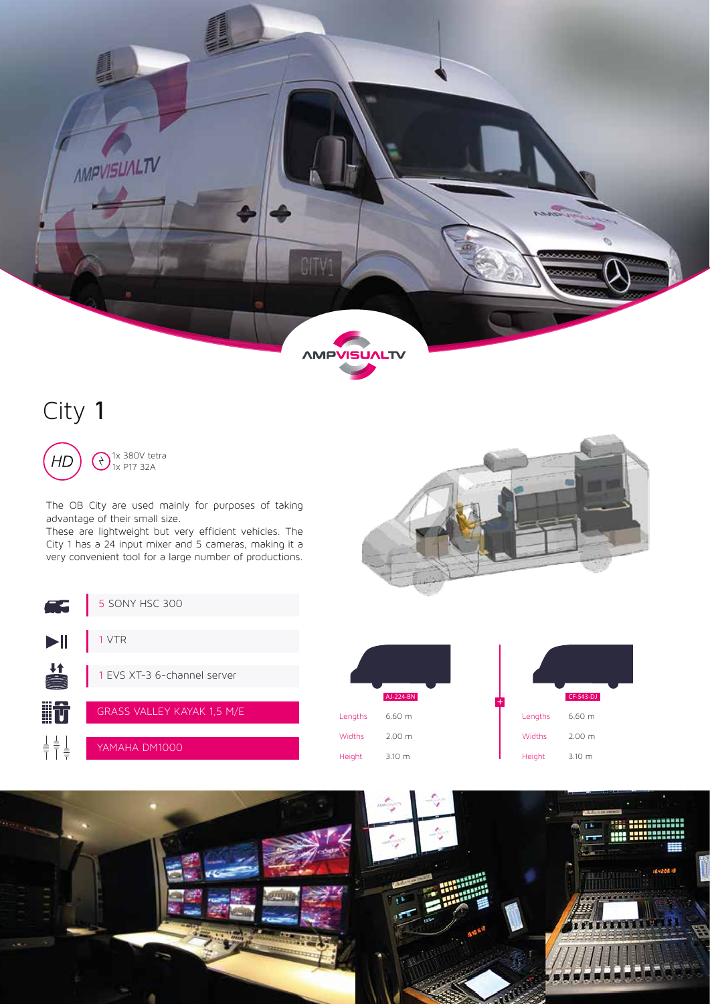

# City 1

 $H$ 

1x 380V tetra 1x P17 32A

The OB City are used mainly for purposes of taking advantage of their small size.

These are lightweight but very efficient vehicles. The City 1 has a 24 input mixer and 5 cameras, making it a very convenient tool for a large number of productions.



| Æ                        | 5 SONY HSC 300                    |                  |                       |                  |                       |
|--------------------------|-----------------------------------|------------------|-----------------------|------------------|-----------------------|
| $\blacktriangleright$ ll | <b>VTR</b>                        |                  |                       |                  |                       |
| ▌                        | 1 EVS XT-3 6-channel server       |                  |                       |                  |                       |
| <b>iit</b>               | <b>GRASS VALLEY KAYAK 1,5 M/E</b> | Lengths          | AJ-224-BN<br>$6.60$ m | Lengths          | CF-543-DJ<br>$6.60$ m |
| 불출.                      | YAMAHA DM1000                     | Widths<br>Height | 2.00 m<br>3.10 m      | Widths<br>Height | 2.00 m<br>3.10 m      |